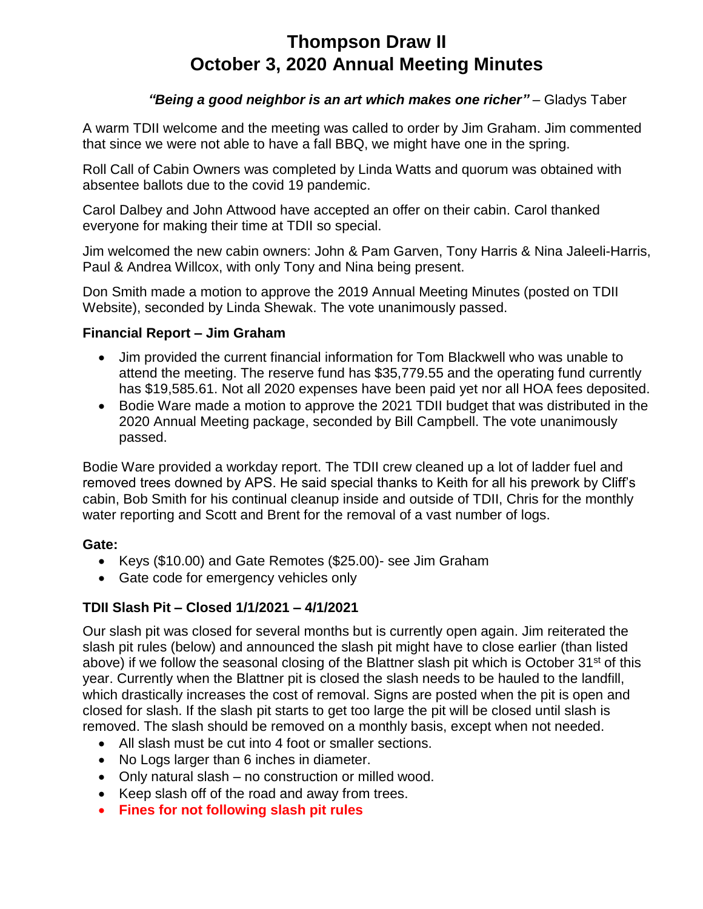# **Thompson Draw II October 3, 2020 Annual Meeting Minutes**

## *"Being a good neighbor is an art which makes one richer"* – Gladys Taber

A warm TDII welcome and the meeting was called to order by Jim Graham. Jim commented that since we were not able to have a fall BBQ, we might have one in the spring.

Roll Call of Cabin Owners was completed by Linda Watts and quorum was obtained with absentee ballots due to the covid 19 pandemic.

Carol Dalbey and John Attwood have accepted an offer on their cabin. Carol thanked everyone for making their time at TDII so special.

Jim welcomed the new cabin owners: John & Pam Garven, Tony Harris & Nina Jaleeli-Harris, Paul & Andrea Willcox, with only Tony and Nina being present.

Don Smith made a motion to approve the 2019 Annual Meeting Minutes (posted on TDII Website), seconded by Linda Shewak. The vote unanimously passed.

#### **Financial Report – Jim Graham**

- Jim provided the current financial information for Tom Blackwell who was unable to attend the meeting. The reserve fund has \$35,779.55 and the operating fund currently has \$19,585.61. Not all 2020 expenses have been paid yet nor all HOA fees deposited.
- Bodie Ware made a motion to approve the 2021 TDII budget that was distributed in the 2020 Annual Meeting package, seconded by Bill Campbell. The vote unanimously passed.

Bodie Ware provided a workday report. The TDII crew cleaned up a lot of ladder fuel and removed trees downed by APS. He said special thanks to Keith for all his prework by Cliff's cabin, Bob Smith for his continual cleanup inside and outside of TDII, Chris for the monthly water reporting and Scott and Brent for the removal of a vast number of logs.

#### **Gate:**

- Keys (\$10.00) and Gate Remotes (\$25.00)- see Jim Graham
- Gate code for emergency vehicles only

#### **TDII Slash Pit – Closed 1/1/2021 – 4/1/2021**

Our slash pit was closed for several months but is currently open again. Jim reiterated the slash pit rules (below) and announced the slash pit might have to close earlier (than listed above) if we follow the seasonal closing of the Blattner slash pit which is October 31<sup>st</sup> of this year. Currently when the Blattner pit is closed the slash needs to be hauled to the landfill, which drastically increases the cost of removal. Signs are posted when the pit is open and closed for slash. If the slash pit starts to get too large the pit will be closed until slash is removed. The slash should be removed on a monthly basis, except when not needed.

- All slash must be cut into 4 foot or smaller sections.
- No Logs larger than 6 inches in diameter.
- Only natural slash no construction or milled wood.
- Keep slash off of the road and away from trees.
- **Fines for not following slash pit rules**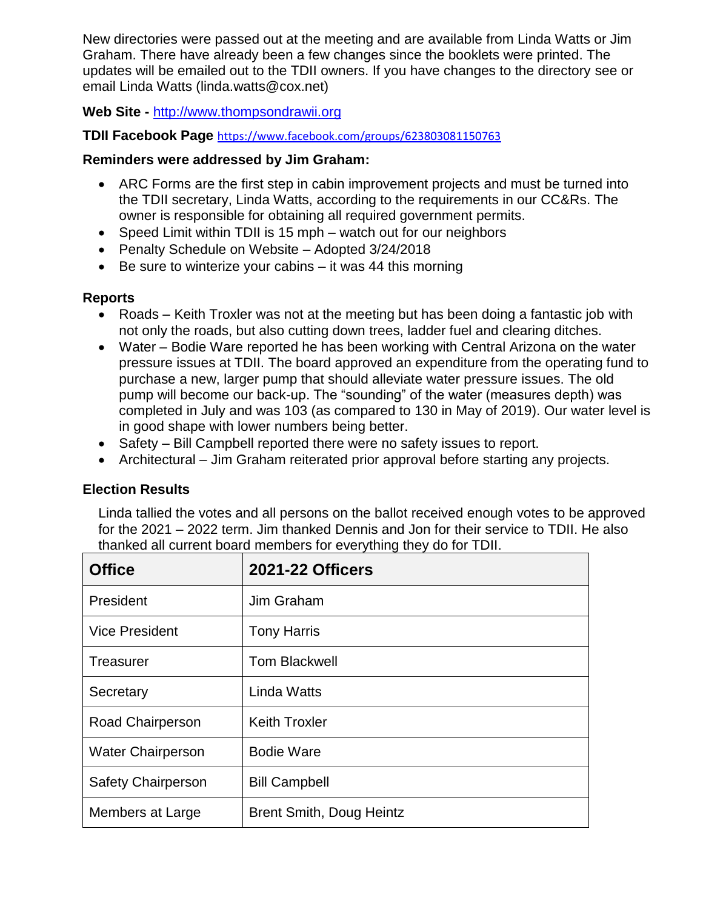New directories were passed out at the meeting and are available from Linda Watts or Jim Graham. There have already been a few changes since the booklets were printed. The updates will be emailed out to the TDII owners. If you have changes to the directory see or email Linda Watts (linda.watts@cox.net)

## **Web Site -** [http://www.thompsondrawii.org](http://www.thompsondrawii.org/)

#### **TDII Facebook Page** <https://www.facebook.com/groups/623803081150763>

#### **Reminders were addressed by Jim Graham:**

- ARC Forms are the first step in cabin improvement projects and must be turned into the TDII secretary, Linda Watts, according to the requirements in our CC&Rs. The owner is responsible for obtaining all required government permits.
- Speed Limit within TDII is 15 mph watch out for our neighbors
- Penalty Schedule on Website Adopted 3/24/2018
- $\bullet$  Be sure to winterize your cabins it was 44 this morning

# **Reports**

- Roads Keith Troxler was not at the meeting but has been doing a fantastic job with not only the roads, but also cutting down trees, ladder fuel and clearing ditches.
- Water Bodie Ware reported he has been working with Central Arizona on the water pressure issues at TDII. The board approved an expenditure from the operating fund to purchase a new, larger pump that should alleviate water pressure issues. The old pump will become our back-up. The "sounding" of the water (measures depth) was completed in July and was 103 (as compared to 130 in May of 2019). Our water level is in good shape with lower numbers being better.
- Safety Bill Campbell reported there were no safety issues to report.
- Architectural Jim Graham reiterated prior approval before starting any projects.

#### **Election Results**

Linda tallied the votes and all persons on the ballot received enough votes to be approved for the 2021 – 2022 term. Jim thanked Dennis and Jon for their service to TDII. He also thanked all current board members for everything they do for TDII.

| <b>Office</b>             | <b>2021-22 Officers</b>         |
|---------------------------|---------------------------------|
| President                 | Jim Graham                      |
| <b>Vice President</b>     | <b>Tony Harris</b>              |
| Treasurer                 | <b>Tom Blackwell</b>            |
| Secretary                 | Linda Watts                     |
| <b>Road Chairperson</b>   | <b>Keith Troxler</b>            |
| <b>Water Chairperson</b>  | <b>Bodie Ware</b>               |
| <b>Safety Chairperson</b> | <b>Bill Campbell</b>            |
| Members at Large          | <b>Brent Smith, Doug Heintz</b> |